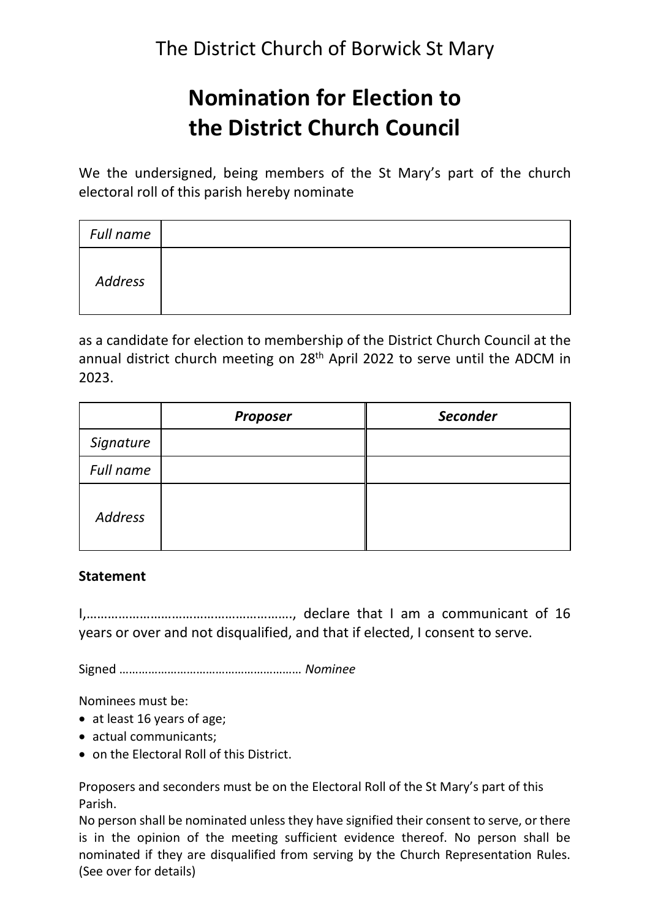## **Nomination for Election to the District Church Council**

We the undersigned, being members of the St Mary's part of the church electoral roll of this parish hereby nominate

| Full name |  |
|-----------|--|
| Address   |  |

as a candidate for election to membership of the District Church Council at the annual district church meeting on 28<sup>th</sup> April 2022 to serve until the ADCM in 2023.

|                | <b>Proposer</b> | <b>Seconder</b> |
|----------------|-----------------|-----------------|
| Signature      |                 |                 |
| Full name      |                 |                 |
| <b>Address</b> |                 |                 |

## **Statement**

I,…………………………………………………., declare that I am a communicant of 16 years or over and not disqualified, and that if elected, I consent to serve.

Signed ………………………………………………… *Nominee*

Nominees must be:

- at least 16 years of age;
- actual communicants;
- on the Electoral Roll of this District.

Proposers and seconders must be on the Electoral Roll of the St Mary's part of this Parish.

No person shall be nominated unless they have signified their consent to serve, or there is in the opinion of the meeting sufficient evidence thereof. No person shall be nominated if they are disqualified from serving by the Church Representation Rules. (See over for details)